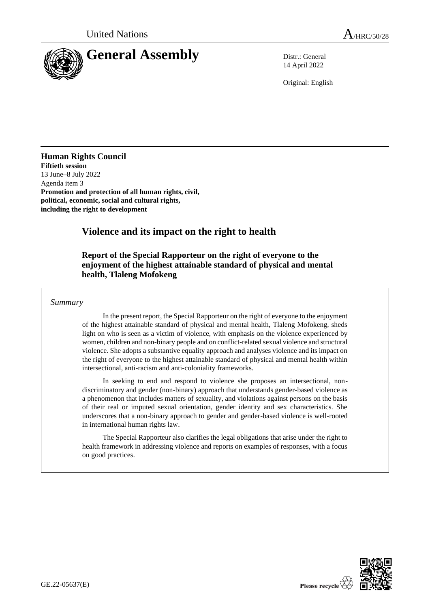

14 April 2022

Original: English

**Human Rights Council Fiftieth session** 13 June–8 July 2022 Agenda item 3 **Promotion and protection of all human rights, civil, political, economic, social and cultural rights, including the right to development**

# **Violence and its impact on the right to health**

## **Report of the Special Rapporteur on the right of everyone to the enjoyment of the highest attainable standard of physical and mental health, Tlaleng Mofokeng**

### *Summary*

In the present report, the Special Rapporteur on the right of everyone to the enjoyment of the highest attainable standard of physical and mental health, Tlaleng Mofokeng, sheds light on who is seen as a victim of violence, with emphasis on the violence experienced by women, children and non-binary people and on conflict-related sexual violence and structural violence. She adopts a substantive equality approach and analyses violence and its impact on the right of everyone to the highest attainable standard of physical and mental health within intersectional, anti-racism and anti-coloniality frameworks.

In seeking to end and respond to violence she proposes an intersectional, nondiscriminatory and gender (non-binary) approach that understands gender-based violence as a phenomenon that includes matters of sexuality, and violations against persons on the basis of their real or imputed sexual orientation, gender identity and sex characteristics. She underscores that a non-binary approach to gender and gender-based violence is well-rooted in international human rights law.

The Special Rapporteur also clarifies the legal obligations that arise under the right to health framework in addressing violence and reports on examples of responses, with a focus on good practices.

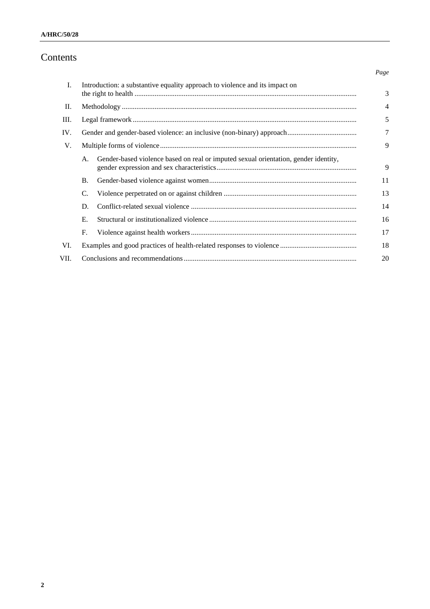# Contents

| Ι.   | Introduction: a substantive equality approach to violence and its impact on |                                                                                     |                |
|------|-----------------------------------------------------------------------------|-------------------------------------------------------------------------------------|----------------|
|      |                                                                             |                                                                                     | 3              |
| П.   |                                                                             |                                                                                     | $\overline{4}$ |
| Ш.   |                                                                             |                                                                                     | 5              |
| IV.  |                                                                             |                                                                                     | 7              |
| V.   |                                                                             |                                                                                     | 9              |
|      | A.                                                                          | Gender-based violence based on real or imputed sexual orientation, gender identity, | 9              |
|      | <b>B.</b>                                                                   |                                                                                     | 11             |
|      | C.                                                                          |                                                                                     | 13             |
|      | D.                                                                          |                                                                                     | 14             |
|      | Е.                                                                          |                                                                                     | 16             |
|      | F.                                                                          |                                                                                     | 17             |
| VI.  |                                                                             |                                                                                     | 18             |
| VII. |                                                                             |                                                                                     |                |

*Page*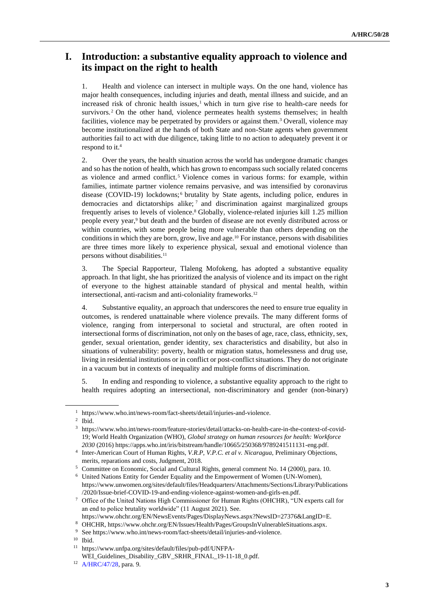# **I. Introduction: a substantive equality approach to violence and its impact on the right to health**

1. Health and violence can intersect in multiple ways. On the one hand, violence has major health consequences, including injuries and death, mental illness and suicide, and an increased risk of chronic health issues, $1$  which in turn give rise to health-care needs for survivors.<sup>2</sup> On the other hand, violence permeates health systems themselves; in health facilities, violence may be perpetrated by providers or against them.<sup>3</sup> Overall, violence may become institutionalized at the hands of both State and non-State agents when government authorities fail to act with due diligence, taking little to no action to adequately prevent it or respond to it.<sup>4</sup>

2. Over the years, the health situation across the world has undergone dramatic changes and so has the notion of health, which has grown to encompass such socially related concerns as violence and armed conflict.<sup>5</sup> Violence comes in various forms: for example, within families, intimate partner violence remains pervasive, and was intensified by coronavirus disease (COVID-19) lockdowns;<sup>6</sup> brutality by State agents, including police, endures in democracies and dictatorships alike; <sup>7</sup> and discrimination against marginalized groups frequently arises to levels of violence.<sup>8</sup> Globally, violence-related injuries kill 1.25 million people every year,<sup>9</sup> but death and the burden of disease are not evenly distributed across or within countries, with some people being more vulnerable than others depending on the conditions in which they are born, grow, live and age.<sup>10</sup> For instance, persons with disabilities are three times more likely to experience physical, sexual and emotional violence than persons without disabilities.<sup>11</sup>

3. The Special Rapporteur, Tlaleng Mofokeng, has adopted a substantive equality approach. In that light, she has prioritized the analysis of violence and its impact on the right of everyone to the highest attainable standard of physical and mental health, within intersectional, anti-racism and anti-coloniality frameworks.<sup>12</sup>

4. Substantive equality, an approach that underscores the need to ensure true equality in outcomes, is rendered unattainable where violence prevails. The many different forms of violence, ranging from interpersonal to societal and structural, are often rooted in intersectional forms of discrimination, not only on the bases of age, race, class, ethnicity, sex, gender, sexual orientation, gender identity, sex characteristics and disability, but also in situations of vulnerability: poverty, health or migration status, homelessness and drug use, living in residential institutions or in conflict or post-conflict situations. They do not originate in a vacuum but in contexts of inequality and multiple forms of discrimination.

5. In ending and responding to violence, a substantive equality approach to the right to health requires adopting an intersectional, non-discriminatory and gender (non-binary)

2 Ibid.

<sup>1</sup> https://www.who.int/news-room/fact-sheets/detail/injuries-and-violence.

<sup>3</sup> https://www.who.int/news-room/feature-stories/detail/attacks-on-health-care-in-the-context-of-covid-19; World Health Organization (WHO), *Global strategy on human resources for health: Workforce 2030* (2016) https://apps.who.int/iris/bitstream/handle/10665/250368/9789241511131-eng.pdf.

<sup>4</sup> Inter-American Court of Human Rights, *V.R.P, V.P.C. et al v. Nicaragua*, Preliminary Objections, merits, reparations and costs, Judgment, 2018.

<sup>5</sup> Committee on Economic, Social and Cultural Rights, general comment No. 14 (2000), para. 10.

<sup>6</sup> United Nations Entity for Gender Equality and the Empowerment of Women (UN-Women), https://www.unwomen.org/sites/default/files/Headquarters/Attachments/Sections/Library/Publications /2020/Issue-brief-COVID-19-and-ending-violence-against-women-and-girls-en.pdf.

<sup>7</sup> Office of the United Nations High Commissioner for Human Rights (OHCHR), "UN experts call for an end to police brutality worldwide" (11 August 2021). See.

https://www.ohchr.org/EN/NewsEvents/Pages/DisplayNews.aspx?NewsID=27376&LangID=E.

<sup>8</sup> OHCHR, https://www.ohchr.org/EN/Issues/Health/Pages/GroupsInVulnerableSituations.aspx.

<sup>9</sup> See https://www.who.int/news-room/fact-sheets/detail/injuries-and-violence.

<sup>10</sup> Ibid.

<sup>11</sup> https://www.unfpa.org/sites/default/files/pub-pdf/UNFPA-

WEI\_Guidelines\_Disability\_GBV\_SRHR\_FINAL\_19-11-18\_0.pdf.

<sup>12</sup> [A/HRC/47/28,](http://undocs.org/en/A/HRC/47/28) para. 9.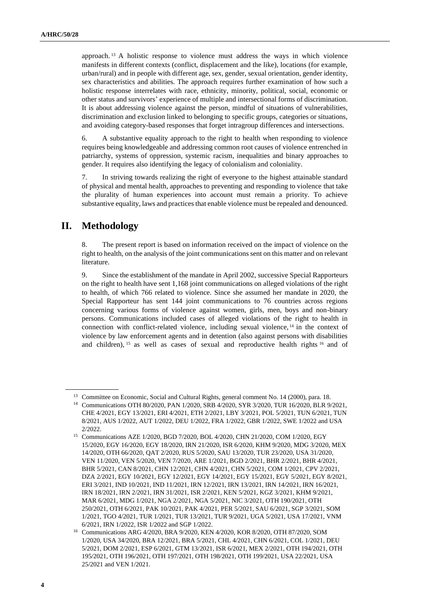approach. <sup>13</sup> A holistic response to violence must address the ways in which violence manifests in different contexts (conflict, displacement and the like), locations (for example, urban/rural) and in people with different age, sex, gender, sexual orientation, gender identity, sex characteristics and abilities. The approach requires further examination of how such a holistic response interrelates with race, ethnicity, minority, political, social, economic or other status and survivors' experience of multiple and intersectional forms of discrimination. It is about addressing violence against the person, mindful of situations of vulnerabilities, discrimination and exclusion linked to belonging to specific groups, categories or situations, and avoiding category-based responses that forget intragroup differences and intersections.

6. A substantive equality approach to the right to health when responding to violence requires being knowledgeable and addressing common root causes of violence entrenched in patriarchy, systems of oppression, systemic racism, inequalities and binary approaches to gender. It requires also identifying the legacy of colonialism and coloniality.

7. In striving towards realizing the right of everyone to the highest attainable standard of physical and mental health, approaches to preventing and responding to violence that take the plurality of human experiences into account must remain a priority. To achieve substantive equality, laws and practices that enable violence must be repealed and denounced.

## **II. Methodology**

8. The present report is based on information received on the impact of violence on the right to health, on the analysis of the joint communications sent on this matter and on relevant literature.

9. Since the establishment of the mandate in April 2002, successive Special Rapporteurs on the right to health have sent 1,168 joint communications on alleged violations of the right to health, of which 766 related to violence. Since she assumed her mandate in 2020, the Special Rapporteur has sent 144 joint communications to 76 countries across regions concerning various forms of violence against women, girls, men, boys and non-binary persons. Communications included cases of alleged violations of the right to health in connection with conflict-related violence, including sexual violence, <sup>14</sup> in the context of violence by law enforcement agents and in detention (also against persons with disabilities and children), <sup>15</sup> as well as cases of sexual and reproductive health rights <sup>16</sup> and of

<sup>&</sup>lt;sup>13</sup> Committee on Economic, Social and Cultural Rights, general comment No. 14 (2000), para. 18.

<sup>14</sup> Communications OTH 80/2020, PAN 1/2020, SRB 4/2020, SYR 3/2020, TUR 16/2020, BLR 9/2021, CHE 4/2021, EGY 13/2021, ERI 4/2021, ETH 2/2021, LBY 3/2021, POL 5/2021, TUN 6/2021, TUN 8/2021, AUS 1/2022, AUT 1/2022, DEU 1/2022, FRA 1/2022, GBR 1/2022, SWE 1/2022 and USA 2/2022.

<sup>15</sup> Communications AZE 1/2020, BGD 7/2020, BOL 4/2020, CHN 21/2020, COM 1/2020, EGY 15/2020, EGY 16/2020, EGY 18/2020, IRN 21/2020, ISR 6/2020, KHM 9/2020, MDG 3/2020, MEX 14/2020, OTH 66/2020, QAT 2/2020, RUS 5/2020, SAU 13/2020, TUR 23/2020, USA 31/2020, VEN 11/2020, VEN 5/2020, VEN 7/2020, ARE 1/2021, BGD 2/2021, BHR 2/2021, BHR 4/2021, BHR 5/2021, CAN 8/2021, CHN 12/2021, CHN 4/2021, CHN 5/2021, COM 1/2021, CPV 2/2021, DZA 2/2021, EGY 10/2021, EGY 12/2021, EGY 14/2021, EGY 15/2021, EGY 5/2021, EGY 8/2021, ERI 3/2021, IND 10/2021, IND 11/2021, IRN 12/2021, IRN 13/2021, IRN 14/2021, IRN 16/2021, IRN 18/2021, IRN 2/2021, IRN 31/2021, ISR 2/2021, KEN 5/2021, KGZ 3/2021, KHM 9/2021, MAR 6/2021, MDG 1/2021, NGA 2/2021, NGA 5/2021, NIC 3/2021, OTH 190/2021, OTH 250/2021, OTH 6/2021, PAK 10/2021, PAK 4/2021, PER 5/2021, SAU 6/2021, SGP 3/2021, SOM 1/2021, TGO 4/2021, TUR 1/2021, TUR 13/2021, TUR 9/2021, UGA 5/2021, USA 17/2021, VNM 6/2021, IRN 1/2022, ISR 1/2022 and SGP 1/2022.

<sup>16</sup> Communications ARG 4/2020, BRA 9/2020, KEN 4/2020, KOR 8/2020, OTH 87/2020, SOM 1/2020, USA 34/2020, BRA 12/2021, BRA 5/2021, CHL 4/2021, CHN 6/2021, COL 1/2021, DEU 5/2021, DOM 2/2021, ESP 6/2021, GTM 13/2021, ISR 6/2021, MEX 2/2021, OTH 194/2021, OTH 195/2021, OTH 196/2021, OTH 197/2021, OTH 198/2021, OTH 199/2021, USA 22/2021, USA 25/2021 and VEN 1/2021.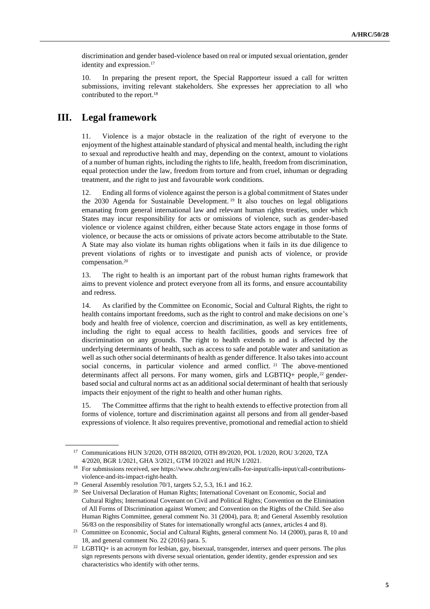discrimination and gender based-violence based on real or imputed sexual orientation, gender identity and expression.<sup>17</sup>

10. In preparing the present report, the Special Rapporteur issued a call for written submissions, inviting relevant stakeholders. She expresses her appreciation to all who contributed to the report.<sup>18</sup>

## **III. Legal framework**

11. Violence is a major obstacle in the realization of the right of everyone to the enjoyment of the highest attainable standard of physical and mental health, including the right to sexual and reproductive health and may, depending on the context, amount to violations of a number of human rights, including the rights to life, health, freedom from discrimination, equal protection under the law, freedom from torture and from cruel, inhuman or degrading treatment, and the right to just and favourable work conditions.

12. Ending all forms of violence against the person is a global commitment of States under the 2030 Agenda for Sustainable Development. <sup>19</sup> It also touches on legal obligations emanating from general international law and relevant human rights treaties, under which States may incur responsibility for acts or omissions of violence, such as gender-based violence or violence against children, either because State actors engage in those forms of violence, or because the acts or omissions of private actors become attributable to the State. A State may also violate its human rights obligations when it fails in its due diligence to prevent violations of rights or to investigate and punish acts of violence, or provide compensation.<sup>20</sup>

13. The right to health is an important part of the robust human rights framework that aims to prevent violence and protect everyone from all its forms, and ensure accountability and redress.

14. As clarified by the Committee on Economic, Social and Cultural Rights, the right to health contains important freedoms, such as the right to control and make decisions on one's body and health free of violence, coercion and discrimination, as well as key entitlements, including the right to equal access to health facilities, goods and services free of discrimination on any grounds. The right to health extends to and is affected by the underlying determinants of health, such as access to safe and potable water and sanitation as well as such other social determinants of health as gender difference. It also takes into account social concerns, in particular violence and armed conflict. <sup>21</sup> The above-mentioned determinants affect all persons. For many women, girls and LGBTIQ+ people,<sup>22</sup> genderbased social and cultural norms act as an additional social determinant of health that seriously impacts their enjoyment of the right to health and other human rights.

15. The Committee affirms that the right to health extends to effective protection from all forms of violence, torture and discrimination against all persons and from all gender-based expressions of violence. It also requires preventive, promotional and remedial action to shield

<sup>17</sup> Communications HUN 3/2020, OTH 88/2020, OTH 89/2020, POL 1/2020, ROU 3/2020, TZA 4/2020, BGR 1/2021, GHA 3/2021, GTM 10/2021 and HUN 1/2021.

<sup>&</sup>lt;sup>18</sup> For submissions received, see https://www.ohchr.org/en/calls-for-input/calls-input/call-contributionsviolence-and-its-impact-right-health.

<sup>&</sup>lt;sup>19</sup> [General](https://sdgs.un.org/goal) Assembly resolution 70/1, targets 5.2, 5.3, 16.1 and 16.2.

<sup>&</sup>lt;sup>20</sup> See Universal Declaration of Human Rights; International Covenant on Economic, Social and Cultural Rights[; International Covenant on Civil and Political Rights; C](https://treaties.un.org/Pages/ViewDetails.aspx?src=TREATY&mtdsg_no=IV-4&chapter=4&clang=_en)onvention on the Elimination of All Forms of Discrimination against Women; and Convention on the Rights of the Child. See also Human Rights Committee, general comment No. 31 (2004), para. 8; and General Assembly resolution 56/83 on the responsibility of States for internationally wrongful acts (annex, articles 4 and 8).

<sup>21</sup> Committee on Economic, Social and Cultural Rights, general comment No. 14 (2000), paras 8, 10 and 18, and general comment No. 22 (2016) para. 5.

<sup>22</sup> LGBTIQ+ is an acronym for lesbian, gay, bisexual, transgender, intersex and queer persons. The plus sign represents persons with diverse sexual orientation, gender identity, gender expression and sex characteristics who identify with other terms.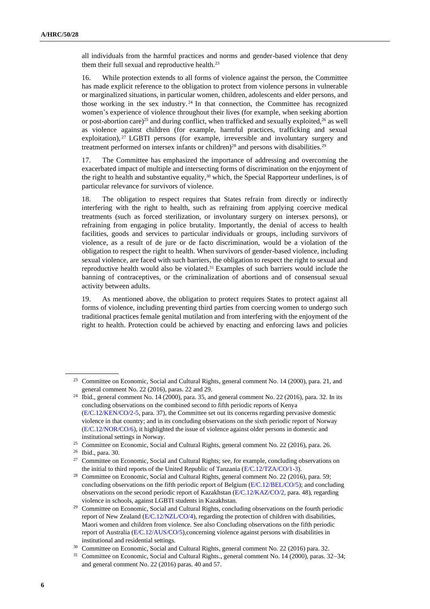all individuals from the harmful practices and norms and gender-based violence that deny them their full sexual and reproductive health.<sup>23</sup>

16. While protection extends to all forms of violence against the person, the Committee has made explicit reference to the obligation to protect from violence persons in vulnerable or marginalized situations, in particular women, children, adolescents and elder persons, and those working in the sex industry. <sup>24</sup> In that connection, the Committee has recognized women's experience of violence throughout their lives (for example, when seeking abortion or post-abortion care)<sup>25</sup> and during conflict, when trafficked and sexually exploited,<sup>26</sup> as well as violence against children (for example, harmful practices, trafficking and sexual exploitation), <sup>27</sup> LGBTI persons (for example, irreversible and involuntary surgery and treatment performed on intersex infants or children)<sup>28</sup> and persons with disabilities.<sup>29</sup>

17. The Committee has emphasized the importance of addressing and overcoming the exacerbated impact of multiple and intersecting forms of discrimination on the enjoyment of the right to health and substantive equality,<sup>30</sup> which, the Special Rapporteur underlines, is of particular relevance for survivors of violence.

18. The obligation to respect requires that States refrain from directly or indirectly interfering with the right to health, such as refraining from applying coercive medical treatments (such as forced sterilization, or involuntary surgery on intersex persons), or refraining from engaging in police brutality. Importantly, the denial of access to health facilities, goods and services to particular individuals or groups, including survivors of violence, as a result of de jure or de facto discrimination, would be a violation of the obligation to respect the right to health. When survivors of gender-based violence, including sexual violence, are faced with such barriers, the obligation to respect the right to sexual and reproductive health would also be violated.<sup>31</sup> Examples of such barriers would include the banning of contraceptives, or the criminalization of abortions and of consensual sexual activity between adults.

19. As mentioned above, the obligation to protect requires States to protect against all forms of violence, including preventing third parties from coercing women to undergo such traditional practices female genital mutilation and from interfering with the enjoyment of the right to health. Protection could be achieved by enacting and enforcing laws and policies

<sup>&</sup>lt;sup>23</sup> Committee on Economic, Social and Cultural Rights, general comment No. 14 (2000), para. 21, and general comment No. 22 (2016), paras. 22 and 29.

<sup>&</sup>lt;sup>24</sup> Ibid., general comment No. 14 (2000), para. 35, and general comment No. 22 (2016), para. 32. In its concluding observations on the combined second to fifth periodic reports of Kenya [\(E/C.12/KEN/CO/2-5,](https://uhri.ohchr.org/en/document/fc820936-a107-4811-a154-d4224a0eeb8e) para. 37), the Committee set out its concerns regarding pervasive domestic violence in that country; and in its concluding observations on the sixth periodic report of Norway [\(E/C.12/NOR/CO/6\)](https://undocs.org/en/E/C.12/NOR/CO/6), it highlighted the issue of violence against older persons in domestic and institutional settings in Norway.

<sup>&</sup>lt;sup>25</sup> Committee on Economic, Social and Cultural Rights, general comment No. 22 (2016), para. 26.

<sup>26</sup> Ibid., para. 30.

<sup>&</sup>lt;sup>27</sup> Committee on Economic, Social and Cultural Rights; see, for example, concluding observations on the initial to third reports of the United Republic of Tanzania [\(E/C.12/TZA/CO/1-3\).](https://uhri.ohchr.org/en/document/37718a70-4ed5-4842-b8db-02af20486dc3)

<sup>&</sup>lt;sup>28</sup> Committee on Economic, Social and Cultural Rights, general comment No. 22 (2016), para. 59; concluding observations on the fifth periodic report of Belgium [\(E/C.12/BEL/CO/5\);](https://uhri.ohchr.org/en/document/1add8c47-dff7-4b9e-a1c7-d96f9d1e4110) and concluding observations on the second periodic report of Kazakhstan [\(E/C.12/KAZ/CO/2,](https://uhri.ohchr.org/en/document/83763d6d-bee1-4427-95e0-2d2245572d23) para. 48), regarding violence in schools, against LGBTI students in Kazakhstan.

<sup>&</sup>lt;sup>29</sup> Committee on Economic, Social and Cultural Rights, concluding observations on the fourth periodic report of New Zealand [\(E/C.12/NZL/CO/4\),](https://uhri.ohchr.org/en/document/f73591e6-82e2-4873-bc3a-4d8262362131) regarding the protection of children with disabilities, Maori women and children from violence. See also Concluding observations on the fifth periodic report of Australia [\(E/C.12/AUS/CO/5\),c](https://uhri.ohchr.org/en/document/399ffffd-b715-4718-a50f-01495332510a)oncerning violence against persons with disabilities in institutional and residential settings.

<sup>&</sup>lt;sup>30</sup> Committee on Economic, Social and Cultural Rights, general comment No. 22 (2016) para. 32.

<sup>31</sup> Committee on Economic, Social and Cultural Rights., general comment No. 14 (2000), paras. 32−34; and general comment No. 22 (2016) paras. 40 and 57.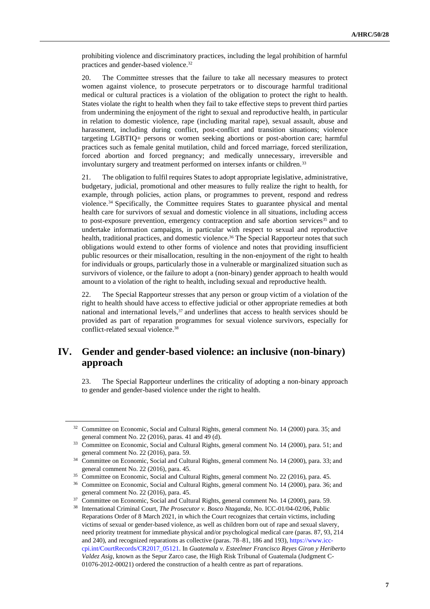prohibiting violence and discriminatory practices, including the legal prohibition of harmful practices and gender-based violence.<sup>32</sup>

20. The Committee stresses that the failure to take all necessary measures to protect women against violence, to prosecute perpetrators or to discourage harmful traditional medical or cultural practices is a violation of the obligation to protect the right to health. States violate the right to health when they fail to take effective steps to prevent third parties from undermining the enjoyment of the right to sexual and reproductive health, in particular in relation to domestic violence, rape (including marital rape), sexual assault, abuse and harassment, including during conflict, post-conflict and transition situations; violence targeting LGBTIQ+ persons or women seeking abortions or post-abortion care; harmful practices such as female genital mutilation, child and forced marriage, forced sterilization, forced abortion and forced pregnancy; and medically unnecessary, irreversible and involuntary surgery and treatment performed on intersex infants or children.<sup>33</sup>

21. The obligation to fulfil requires States to adopt appropriate legislative, administrative, budgetary, judicial, promotional and other measures to fully realize the right to health, for example, through policies, action plans, or programmes to prevent, respond and redress violence.<sup>34</sup> Specifically, the Committee requires States to guarantee physical and mental health care for survivors of sexual and domestic violence in all situations, including access to post-exposure prevention, emergency contraception and safe abortion services<sup>35</sup> and to undertake information campaigns, in particular with respect to sexual and reproductive health, traditional practices, and domestic violence.<sup>36</sup> The Special Rapporteur notes that such obligations would extend to other forms of violence and notes that providing insufficient public resources or their misallocation, resulting in the non-enjoyment of the right to health for individuals or groups, particularly those in a vulnerable or marginalized situation such as survivors of violence, or the failure to adopt a (non-binary) gender approach to health would amount to a violation of the right to health, including sexual and reproductive health.

22. The Special Rapporteur stresses that any person or group victim of a violation of the right to health should have access to effective judicial or other appropriate remedies at both national and international levels,<sup>37</sup> and underlines that access to health services should be provided as part of reparation programmes for sexual violence survivors, especially for conflict-related sexual violence.<sup>38</sup>

## **IV. Gender and gender-based violence: an inclusive (non-binary) approach**

23. The Special Rapporteur underlines the criticality of adopting a non-binary approach to gender and gender-based violence under the right to health.

<sup>&</sup>lt;sup>32</sup> Committee on Economic, Social and Cultural Rights, general comment No. 14 (2000) para. 35; and general comment No. 22 (2016), paras. 41 and 49 (d).

<sup>&</sup>lt;sup>33</sup> Committee on Economic, Social and Cultural Rights, general comment No. 14 (2000), para. 51; and general comment No. 22 (2016), para. 59.

<sup>&</sup>lt;sup>34</sup> Committee on Economic, Social and Cultural Rights, general comment No. 14 (2000), para. 33; and general comment No. 22 (2016), para. 45.

<sup>&</sup>lt;sup>35</sup> Committee on Economic, Social and Cultural Rights, general comment No. 22 (2016), para. 45.

<sup>36</sup> Committee on Economic, Social and Cultural Rights, general comment No. 14 (2000), para. 36; and general comment No. 22 (2016), para. 45.

<sup>&</sup>lt;sup>37</sup> Committee on Economic, Social and Cultural Rights, general comment No. 14 (2000), para. 59.

<sup>38</sup> International Criminal Court, *The Prosecutor v. Bosco Ntaganda*, No. ICC-01/04-02/06, Public Reparations Order of 8 March 2021, in which the Court recognizes that certain victims, including victims of sexual or gender-based violence, as well as children born out of rape and sexual slavery, need priority treatment for immediate physical and/or psychological medical care (paras. 87, 93, 214 and 240), and recognized reparations as collective (paras. 78–81, 186 and 193)[, https://www.icc](https://www.icc-cpi.int/CourtRecords/CR2017_05121)[cpi.int/CourtRecords/CR2017\\_05121.](https://www.icc-cpi.int/CourtRecords/CR2017_05121) In *Guatemala v. Esteelmer Francisco Reyes Giron y Heriberto Valdez Asig*, known as the Sepur Zarco case, the High Risk Tribunal of Guatemala (Judgment C-01076-2012-00021) ordered the construction of a health centre as part of reparations.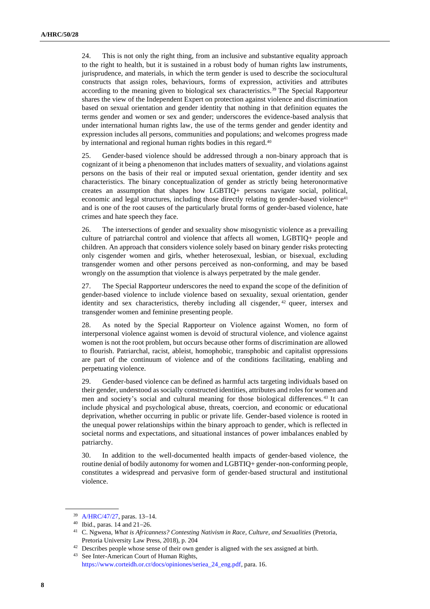24. This is not only the right thing, from an inclusive and substantive equality approach to the right to health, but it is sustained in a robust body of human rights law instruments, jurisprudence, and materials, in which the term gender is used to describe the sociocultural constructs that assign roles, behaviours, forms of expression, activities and attributes according to the meaning given to biological sex characteristics.<sup>39</sup> The Special Rapporteur shares the view of the Independent Expert on protection against violence and discrimination based on sexual orientation and gender identity that nothing in that definition equates the terms gender and women or sex and gender; underscores the evidence-based analysis that under international human rights law, the use of the terms gender and gender identity and expression includes all persons, communities and populations; and welcomes progress made by international and regional human rights bodies in this regard.<sup>40</sup>

25. Gender-based violence should be addressed through a non-binary approach that is cognizant of it being a phenomenon that includes matters of sexuality, and violations against persons on the basis of their real or imputed sexual orientation, gender identity and sex characteristics. The binary conceptualization of gender as strictly being heteronormative creates an assumption that shapes how LGBTIQ+ persons navigate social, political, economic and legal structures, including those directly relating to gender-based violence<sup>41</sup> and is one of the root causes of the particularly brutal forms of gender-based violence, hate crimes and hate speech they face.

26. The intersections of gender and sexuality show misogynistic violence as a prevailing culture of patriarchal control and violence that affects all women, LGBTIQ+ people and children. An approach that considers violence solely based on binary gender risks protecting only cisgender women and girls, whether heterosexual, lesbian, or bisexual, excluding transgender women and other persons perceived as non-conforming, and may be based wrongly on the assumption that violence is always perpetrated by the male gender.

27. The Special Rapporteur underscores the need to expand the scope of the definition of gender-based violence to include violence based on sexuality, sexual orientation, gender identity and sex characteristics, thereby including all cisgender, <sup>42</sup> queer, intersex and transgender women and feminine presenting people.

28. As noted by the Special Rapporteur on Violence against Women, no form of interpersonal violence against women is devoid of structural violence, and violence against women is not the root problem, but occurs because other forms of discrimination are allowed to flourish. Patriarchal, racist, ableist, homophobic, transphobic and capitalist oppressions are part of the continuum of violence and of the conditions facilitating, enabling and perpetuating violence.

29. Gender-based violence can be defined as harmful acts targeting individuals based on their gender, understood as socially constructed identities, attributes and roles for women and men and society's social and cultural meaning for those biological differences. <sup>43</sup> It can include physical and psychological abuse, threats, coercion, and economic or educational deprivation, whether occurring in public or private life. Gender-based violence is rooted in the unequal power relationships within the binary approach to gender, which is reflected in societal norms and expectations, and situational instances of power imbalances enabled by patriarchy.

30. In addition to the well-documented health impacts of gender-based violence, the routine denial of bodily autonomy for women and LGBTIQ+ gender-non-conforming people, constitutes a widespread and pervasive form of gender-based structural and institutional violence.

<sup>39</sup> [A/HRC/47/27,](http://undocs.org/en/A/HRC/47/27) paras. 13−14.

<sup>40</sup> Ibid., paras. 14 and 21−26.

<sup>&</sup>lt;sup>41</sup> C. Ngwena, *What is Africanness? Contesting Nativism in Race, Culture, and Sexualities* (Pretoria, Pretoria University Law Press, 2018), p. 204

<sup>&</sup>lt;sup>42</sup> Describes people whose sense of their own gender is aligned with the sex assigned at birth.

<sup>43</sup> See Inter-American Court of Human Rights, [https://www.corteidh.or.cr/docs/opiniones/seriea\\_24\\_eng.pdf,](https://www.corteidh.or.cr/docs/opiniones/seriea_24_eng.pdf) para. 16.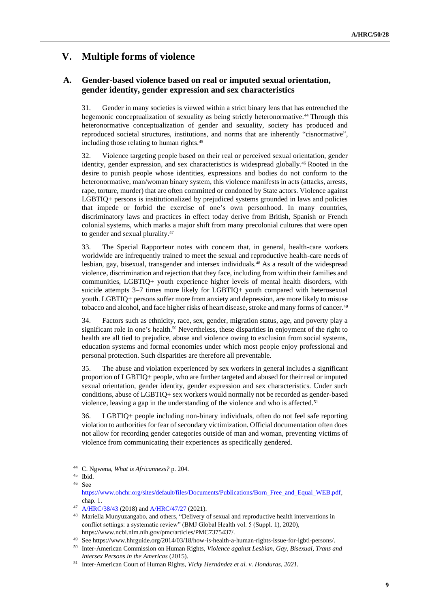# **V. Multiple forms of violence**

## **A. Gender-based violence based on real or imputed sexual orientation, gender identity, gender expression and sex characteristics**

31. Gender in many societies is viewed within a strict binary lens that has entrenched the hegemonic conceptualization of sexuality as being strictly heteronormative.<sup>44</sup> Through this heteronormative conceptualization of gender and sexuality, society has produced and reproduced societal structures, institutions, and norms that are inherently "cisnormative", including those relating to human rights.<sup>45</sup>

32. Violence targeting people based on their real or perceived sexual orientation, gender identity, gender expression, and sex characteristics is widespread globally.<sup>46</sup> Rooted in the desire to punish people whose identities, expressions and bodies do not conform to the heteronormative, man/woman binary system, this violence manifests in acts (attacks, arrests, rape, torture, murder) that are often committed or condoned by State actors. Violence against LGBTIQ+ persons is institutionalized by prejudiced systems grounded in laws and policies that impede or forbid the exercise of one's own personhood. In many countries, discriminatory laws and practices in effect today derive from British, Spanish or French colonial systems, which marks a major shift from many precolonial cultures that were open to gender and sexual plurality.<sup>47</sup>

33. The Special Rapporteur notes with concern that, in general, health-care workers worldwide are infrequently trained to meet the sexual and reproductive health-care needs of lesbian, gay, bisexual, transgender and intersex individuals.<sup>48</sup> As a result of the widespread violence, discrimination and rejection that they face, including from within their families and communities, LGBTIQ+ youth experience higher levels of mental health disorders, with suicide attempts 3–7 times more likely for LGBTIQ+ youth compared with heterosexual youth. LGBTIQ+ persons suffer more from anxiety and depression, are more likely to misuse tobacco and alcohol, and face higher risks of heart disease, stroke and many forms of cancer.<sup>49</sup>

34. Factors such as ethnicity, race, sex, gender, migration status, age, and poverty play a significant role in one's health.<sup>50</sup> Nevertheless, these disparities in enjoyment of the right to health are all tied to prejudice, abuse and violence owing to exclusion from social systems, education systems and formal economies under which most people enjoy professional and personal protection. Such disparities are therefore all preventable.

35. The abuse and violation experienced by sex workers in general includes a significant proportion of LGBTIQ+ people, who are further targeted and abused for their real or imputed sexual orientation, gender identity, gender expression and sex characteristics. Under such conditions, abuse of LGBTIQ+ sex workers would normally not be recorded as gender-based violence, leaving a gap in the understanding of the violence and who is affected.<sup>51</sup>

36. LGBTIQ+ people including non-binary individuals, often do not feel safe reporting violation to authorities for fear of secondary victimization. Official documentation often does not allow for recording gender categories outside of man and woman, preventing victims of violence from communicating their experiences as specifically gendered.

<sup>44</sup> C. Ngwena, *What is Africanness?* p. 204.

<sup>45</sup> Ibid.

<sup>46</sup> See

[https://www.ohchr.org/sites/default/files/Documents/Publications/Born\\_Free\\_and\\_Equal\\_WEB.pdf,](https://www.ohchr.org/sites/default/files/Documents/Publications/Born_Free_and_Equal_WEB.pdf) chap. 1.

<sup>47</sup> [A/HRC/38/43](http://undocs.org/en/A/HRC/38/43) (2018) an[d A/HRC/47/27](http://undocs.org/en/A/HRC/47/27) (2021).

<sup>&</sup>lt;sup>48</sup> Mariella Munyuzangabo, and others, "Delivery of sexual and reproductive health interventions in conflict settings: a systematic review" (BMJ Global Health vol. 5 (Suppl. 1), 2020), https://www.ncbi.nlm.nih.gov/pmc/articles/PMC7375437/.

<sup>49</sup> See https://www.hhrguide.org/2014/03/18/how-is-health-a-human-rights-issue-for-lgbti-persons/.

<sup>50</sup> Inter-American Commission on Human Rights, *Violence against Lesbian, Gay, Bisexual, Trans and Intersex Persons in the Americas* (2015).

<sup>51</sup> Inter-American Court of Human Rights, *Vicky Hernández et al. v. Honduras, 2021.*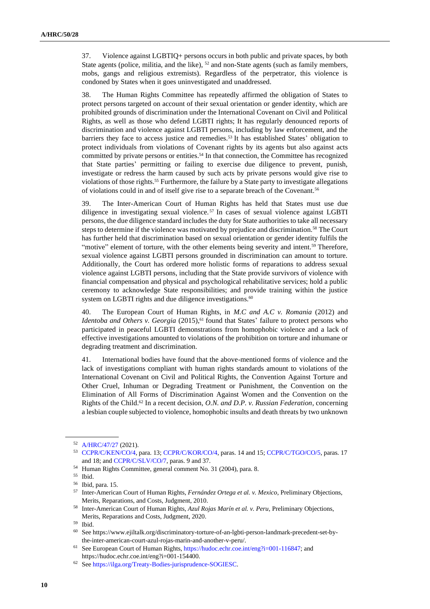37. Violence against LGBTIQ+ persons occurs in both public and private spaces, by both State agents (police, militia, and the like), <sup>52</sup> and non-State agents (such as family members, mobs, gangs and religious extremists). Regardless of the perpetrator, this violence is condoned by States when it goes uninvestigated and unaddressed.

38. The Human Rights Committee has repeatedly affirmed the obligation of States to protect persons targeted on account of their sexual orientation or gender identity, which are prohibited grounds of discrimination under the International Covenant on Civil and Political Rights, as well as those who defend LGBTI rights; It has regularly denounced reports of discrimination and violence against LGBTI persons, including by law enforcement, and the barriers they face to access justice and remedies.<sup>53</sup> It has established States' obligation to protect individuals from violations of Covenant rights by its agents but also against acts committed by private persons or entities.<sup>54</sup> In that connection, the Committee has recognized that State parties' permitting or failing to exercise due diligence to prevent, punish, investigate or redress the harm caused by such acts by private persons would give rise to violations of those rights.<sup>55</sup> Furthermore, the failure by a State party to investigate allegations of violations could in and of itself give rise to a separate breach of the Covenant.<sup>56</sup>

39. The Inter-American Court of Human Rights has held that States must use due diligence in investigating sexual violence. <sup>57</sup> In cases of sexual violence against LGBTI persons, the due diligence standard includes the duty for State authorities to take all necessary steps to determine if the violence was motivated by prejudice and discrimination.<sup>58</sup> The Court has further held that discrimination based on sexual orientation or gender identity fulfils the "motive" element of torture, with the other elements being severity and intent.<sup>59</sup> Therefore, sexual violence against LGBTI persons grounded in discrimination can amount to torture. Additionally, the Court has ordered more holistic forms of reparations to address sexual violence against LGBTI persons, including that the State provide survivors of violence with financial compensation and physical and psychological rehabilitative services; hold a public ceremony to acknowledge State responsibilities; and provide training within the justice system on LGBTI rights and due diligence investigations.<sup>60</sup>

40. The European Court of Human Rights, in *M.C and A.C v. Romania* (2012) and *Identoba and Others v. Georgia* (2015),<sup>61</sup> found that States' failure to protect persons who participated in peaceful LGBTI demonstrations from homophobic violence and a lack of effective investigations amounted to violations of the prohibition on torture and inhumane or degrading treatment and discrimination.

41. International bodies have found that the above-mentioned forms of violence and the lack of investigations compliant with human rights standards amount to violations of the International Covenant on Civil and Political Rights, the Convention Against Torture and Other Cruel, Inhuman or Degrading Treatment or Punishment, the Convention on the Elimination of All Forms of Discrimination Against Women and the Convention on the Rights of the Child.<sup>62</sup> In a recent decision, *O.N. and D.P. v. Russian Federation*, concerning a lesbian couple subjected to violence, homophobic insults and death threats by two unknown

<sup>52</sup> [A/HRC/47/27](http://undocs.org/en/A/HRC/47/27) (2021).

<sup>53</sup> [CCPR/C/KEN/CO/4,](https://uhri.ohchr.org/en/document/f2995a60-87ba-4b50-ba0f-76037e716d40) para. 13; [CCPR/C/KOR/CO/4,](https://uhri.ohchr.org/en/document/86caa216-d919-41f9-93b4-722db420bb7e) paras. 14 and 15[; CCPR/C/TGO/CO/5,](https://uhri.ohchr.org/en/document/75b7c750-395f-4c0d-9a46-1f60d79c973f) paras. 17 and 18; an[d CCPR/C/SLV/CO/7,](https://uhri.ohchr.org/en/document/65db584e-b290-43b7-9b75-656a4c07691a) paras. 9 and 37.

<sup>54</sup> Human Rights Committee, general comment No. 31 (2004), para. 8.

<sup>55</sup> Ibid.

<sup>56</sup> Ibid, para. 15.

<sup>57</sup> Inter-American Court of Human Rights, *Fernández Ortega et al. v. Mexico*, Preliminary Objections, Merits, Reparations, and Costs, Judgment, 2010.

<sup>58</sup> Inter-American Court of Human Rights, *Azul Rojas Marín et al. v. Peru,* Preliminary Objections, Merits, Reparations and Costs, Judgment, 2020.

<sup>59</sup> Ibid.

<sup>60</sup> See https://www.ejiltalk.org/discriminatory-torture-of-an-lgbti-person-landmark-precedent-set-bythe-inter-american-court-azul-rojas-marin-and-another-v-peru/.

<sup>61</sup> See European Court of Human Rights[, https://hudoc.echr.coe.int/eng?i=001-116847;](https://hudoc.echr.coe.int/eng?i=001-116847) and https://hudoc.echr.coe.int/eng?i=001-154400.

<sup>62</sup> Se[e https://ilga.org/Treaty-Bodies-jurisprudence-SOGIESC.](https://ilga.org/Treaty-Bodies-jurisprudence-SOGIESC)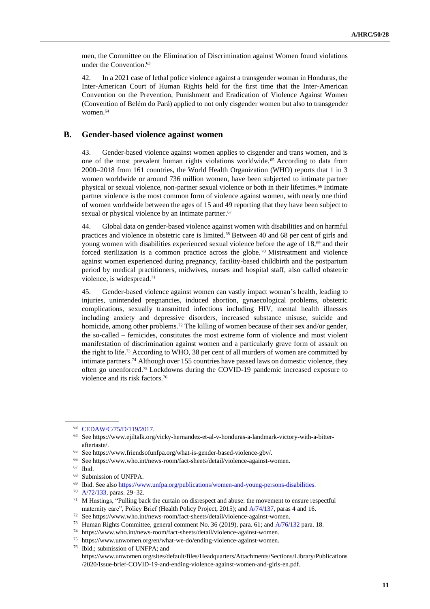men, the Committee on the Elimination of Discrimination against Women found violations under the Convention.<sup>63</sup>

42. In a 2021 case of lethal police violence against a transgender woman in Honduras, the Inter-American Court of Human Rights held for the first time that the Inter-American Convention on the Prevention, Punishment and Eradication of Violence Against Women (Convention of Belém do Pará) applied to not only cisgender women but also to transgender women.<sup>64</sup>

### **B. Gender-based violence against women**

43. Gender-based violence against women applies to cisgender and trans women, and is one of the most prevalent human rights violations worldwide. <sup>65</sup> According to data from 2000−2018 from 161 countries, the World Health Organization (WHO) reports that 1 in 3 women worldwide or around 736 million women, have been subjected to intimate partner physical or sexual violence, non-partner sexual violence or both in their lifetimes.<sup>66</sup> Intimate partner violence is the most common form of violence against women, with nearly one third of women worldwide between the ages of 15 and 49 reporting that they have been subject to sexual or physical violence by an intimate partner.<sup>67</sup>

44. Global data on gender-based violence against women with disabilities and on harmful practices and violence in obstetric care is limited.<sup>68</sup> Between 40 and 68 per cent of girls and young women with disabilities experienced sexual violence before the age of 18,<sup>69</sup> and their forced sterilization is a common practice across the globe.<sup>70</sup> Mistreatment and violence against women experienced during pregnancy, facility-based childbirth and the postpartum period by medical practitioners, midwives, nurses and hospital staff, also called obstetric violence, is widespread.<sup>71</sup>

45. Gender-based violence against women can vastly impact woman's health, leading to injuries, unintended pregnancies, induced abortion, gynaecological problems, obstetric complications, sexually transmitted infections including HIV, mental health illnesses including anxiety and depressive disorders, increased substance misuse, suicide and homicide, among other problems.<sup>72</sup> The killing of women because of their sex and/or gender, the so-called – femicides, constitutes the most extreme form of violence and most violent manifestation of discrimination against women and a particularly grave form of assault on the right to life.<sup>73</sup> According to WHO, 38 per cent of all murders of women are committed by intimate partners.<sup>74</sup> Although over 155 countries have passed laws on domestic violence, they often go unenforced.<sup>75</sup> Lockdowns during the COVID-19 pandemic increased exposure to violence and its risk factors.<sup>76</sup>

<sup>70</sup> [A/72/133,](http://undocs.org/en/A/72/133) paras. 29–32.

<sup>63</sup> [CEDAW/C/75/D/119/2017.](http://undocs.org/en/CEDAW/C/75/D/119/2017)

<sup>64</sup> See https://www.ejiltalk.org/vicky-hernandez-et-al-v-honduras-a-landmark-victory-with-a-bitteraftertaste/.

<sup>65</sup> See https://www.friendsofunfpa.org/what-is-gender-based-violence-gbv/.

<sup>66</sup> See https://www.who.int/news-room/fact-sheets/detail/violence-against-women.

<sup>67</sup> Ibid.

<sup>68</sup> Submission of UNFPA.

<sup>69</sup> Ibid. See als[o https://www.unfpa.org/publications/women-and-young-persons-disabilities.](https://www.unfpa.org/publications/women-and-young-persons-disabilities)

<sup>71</sup> M Hastings, "Pulling back the curtain on disrespect and abuse: the movement to ensure respectful maternity care", Policy Brief (Health Policy Project, 2015); and [A/74/137,](http://undocs.org/en/A/74/137) paras 4 and 16.

<sup>72</sup> See https://www.who.int/news-room/fact-sheets/detail/violence-against-women.

<sup>73</sup> Human Rights Committee, general comment No. 36 (2019), para. 61; and [A/76/132](http://undocs.org/en/A/76/132) para. 18.

 $^{74}\,$  https://www.who.int/news-room/fact-sheets/detail/violence-against-women.

<sup>75</sup> https://www.unwomen.org/en/what-we-do/ending-violence-against-women.

<sup>76</sup> Ibid.; submission of UNFPA; and https://www.unwomen.org/sites/default/files/Headquarters/Attachments/Sections/Library/Publications /2020/Issue-brief-COVID-19-and-ending-violence-against-women-and-girls-en.pdf.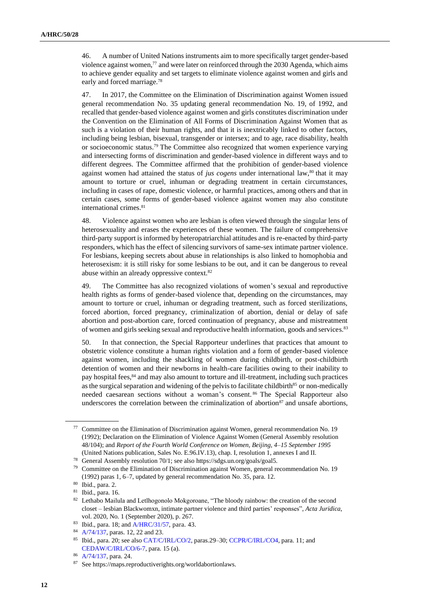46. A number of United Nations instruments aim to more specifically target gender-based violence against women, $77$  and were later on reinforced through the 2030 Agenda, which aims to achieve gender equality and set targets to eliminate violence against women and girls and early and forced marriage.<sup>78</sup>

47. In 2017, the Committee on the Elimination of Discrimination against Women issued general recommendation No. 35 updating general recommendation No. 19, of 1992, and recalled that gender-based violence against women and girls constitutes discrimination under the Convention on the Elimination of All Forms of Discrimination Against Women that as such is a violation of their human rights, and that it is inextricably linked to other factors, including being lesbian, bisexual, transgender or intersex; and to age, race disability, health or socioeconomic status. <sup>79</sup> The Committee also recognized that women experience varying and intersecting forms of discrimination and gender-based violence in different ways and to different degrees. The Committee affirmed that the prohibition of gender-based violence against women had attained the status of *jus cogens* under international law,<sup>80</sup> that it may amount to torture or cruel, inhuman or degrading treatment in certain circumstances, including in cases of rape, domestic violence, or harmful practices, among others and that in certain cases, some forms of gender-based violence against women may also constitute international crimes.<sup>81</sup>

48. Violence against women who are lesbian is often viewed through the singular lens of heterosexuality and erases the experiences of these women. The failure of comprehensive third-party support is informed by heteropatriarchial attitudes and is re-enacted by third-party responders, which has the effect of silencing survivors of same-sex intimate partner violence. For lesbians, keeping secrets about abuse in relationships is also linked to homophobia and heterosexism: it is still risky for some lesbians to be out, and it can be dangerous to reveal abuse within an already oppressive context.<sup>82</sup>

49. The Committee has also recognized violations of women's sexual and reproductive health rights as forms of gender-based violence that, depending on the circumstances, may amount to torture or cruel, inhuman or degrading treatment, such as forced sterilizations, forced abortion, forced pregnancy, criminalization of abortion, denial or delay of safe abortion and post-abortion care, forced continuation of pregnancy, abuse and mistreatment of women and girls seeking sexual and reproductive health information, goods and services.<sup>83</sup>

50. In that connection, the Special Rapporteur underlines that practices that amount to obstetric violence constitute a human rights violation and a form of gender-based violence against women, including the shackling of women during childbirth, or post-childbirth detention of women and their newborns in health-care facilities owing to their inability to pay hospital fees,<sup>84</sup> and may also amount to torture and ill-treatment, including such practices as the surgical separation and widening of the pelvis to facilitate childbirth<sup>85</sup> or non-medically needed caesarean sections without a woman's consent. <sup>86</sup> The Special Rapporteur also underscores the correlation between the criminalization of abortion<sup>87</sup> and unsafe abortions,

<sup>77</sup> Committee on the Elimination of Discrimination against Women, general recommendation No. 19 (1992); Declaration on the Elimination of Violence Against Women (General Assembly resolution 48/104); and *Report of the Fourth World Conference on Women, Beijing, 4–15 September 1995* (United Nations publication, Sales No. E.96.IV.13), chap. I, resolution 1, annexes I and II.

<sup>78</sup> General Assembly resolution 70/1; see also https://sdgs.un.org/goals/goal5.

 $79$  Committee on the Elimination of Discrimination against Women, general recommendation No. 19 (1992) paras 1, 6–7, updated by general recommendation No. 35, para. 12.

<sup>80</sup> Ibid., para. 2.

<sup>81</sup> Ibid., para. 16.

<sup>82</sup> Lethabo Mailula and Letlhogonolo Mokgoroane, "The bloody rainbow: the creation of the second closet – lesbian Blackwomxn, intimate partner violence and third parties' responses", *Acta Juridica*, vol. 2020, No. 1 (September 2020), p. 267.

<sup>83</sup> Ibid., para. 18; an[d A/HRC/31/57,](https://undocs.org/A/HRC/31/57) para. 43.

<sup>84</sup> [A/74/137,](http://undocs.org/en/A/74/137) paras. 12, 22 and 23.

<sup>85</sup> Ibid., para. 20; see also [CAT/C/IRL/CO/2,](https://undocs.org/en/CAT/C/IRL/CO/2) paras.29–30[; CCPR/C/IRL/CO4,](https://documents-dds-ny.un.org/doc/UNDOC/GEN/G14/141/79/PDF/G1414179.pdf?OpenElement) para. 11; and [CEDAW/C/IRL/CO/6-7,](https://documents-dds-ny.un.org/doc/UNDOC/GEN/N17/062/74/PDF/N1706274.pdf?OpenElement) para. 15 (a).

<sup>86</sup> [A/74/137,](http://undocs.org/en/A/74/137) para. 24.

<sup>87</sup> See https://maps.reproductiverights.org/worldabortionlaws.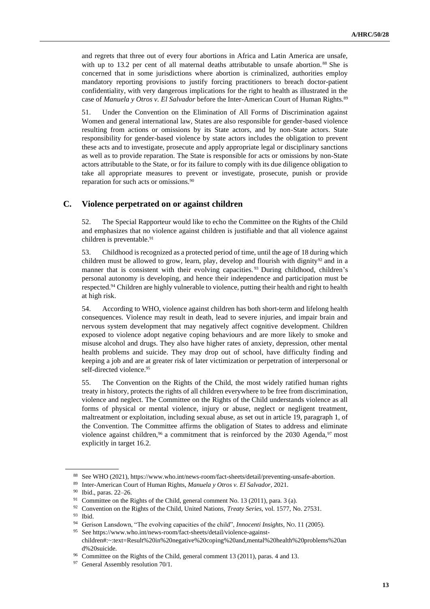and regrets that three out of every four abortions in Africa and Latin America are unsafe, with up to 13.2 per cent of all maternal deaths attributable to unsafe abortion.<sup>88</sup> She is concerned that in some jurisdictions where abortion is criminalized, authorities employ mandatory reporting provisions to justify forcing practitioners to breach doctor-patient confidentiality, with very dangerous implications for the right to health as illustrated in the case of *Manuela y Otros v. El Salvador* before the Inter-American Court of Human Rights.<sup>89</sup>

51. Under the Convention on the Elimination of All Forms of Discrimination against Women and general international law, States are also responsible for gender-based violence resulting from actions or omissions by its State actors, and by non-State actors. State responsibility for gender-based violence by state actors includes the obligation to prevent these acts and to investigate, prosecute and apply appropriate legal or disciplinary sanctions as well as to provide reparation. The State is responsible for acts or omissions by non-State actors attributable to the State, or for its failure to comply with its due diligence obligation to take all appropriate measures to prevent or investigate, prosecute, punish or provide reparation for such acts or omissions.<sup>90</sup>

### **C. Violence perpetrated on or against children**

52. The Special Rapporteur would like to echo the Committee on the Rights of the Child and emphasizes that no violence against children is justifiable and that all violence against children is preventable.<sup>91</sup>

53. Childhood is recognized as a protected period of time, until the age of 18 during which children must be allowed to grow, learn, play, develop and flourish with dignity $92$  and in a manner that is consistent with their evolving capacities.<sup>93</sup> During childhood, children's personal autonomy is developing, and hence their independence and participation must be respected.<sup>94</sup> Children are highly vulnerable to violence, putting their health and right to health at high risk.

54. According to WHO, violence against children has both short-term and lifelong health consequences. Violence may result in death, lead to severe injuries, and impair brain and nervous system development that may negatively affect cognitive development. Children exposed to violence adopt negative coping behaviours and are more likely to smoke and misuse alcohol and drugs. They also have higher rates of anxiety, depression, other mental health problems and suicide. They may drop out of school, have difficulty finding and keeping a job and are at greater risk of later victimization or perpetration of interpersonal or self-directed violence.<sup>95</sup>

55. The Convention on the Rights of the Child, the most widely ratified human rights treaty in history, protects the rights of all children everywhere to be free from discrimination, violence and neglect. The Committee on the Rights of the Child understands violence as all forms of physical or mental violence, injury or abuse, neglect or negligent treatment, maltreatment or exploitation, including sexual abuse, as set out in article 19, paragraph 1, of the Convention. The Committee affirms the obligation of States to address and eliminate violence against children,<sup>96</sup> a commitment that is reinforced by the 2030 Agenda,<sup>97</sup> most explicitly in target 16.2.

<sup>88</sup> See WHO (2021), https://www.who.int/news-room/fact-sheets/detail/preventing-unsafe-abortion.

<sup>89</sup> Inter-American Court of Human Rights, *Manuela y Otros v. El Salvador*, 2021.

 $^{90}$  Ibid., paras. 22–26.

Committee on the Rights of the Child, general comment No. 13 (2011), para. 3 (a).

<sup>92</sup> Convention on the Rights of the Child, United Nations, *Treaty Series*, vol. 1577, No. 27531.

<sup>93</sup> Ibid.

<sup>94</sup> Gerison Lansdown, "The evolving capacities of the child", *Innocenti Insights*, NO. 11 (2005).

See https://www.who.int/news-room/fact-sheets/detail/violence-againstchildren#:~:text=Result%20in%20negative%20coping%20and,mental%20health%20problems%20an d%20suicide.

<sup>96</sup> Committee on the Rights of the Child, general comment 13 (2011), paras. 4 and 13.

<sup>&</sup>lt;sup>97</sup> General Assembly resolution 70/1.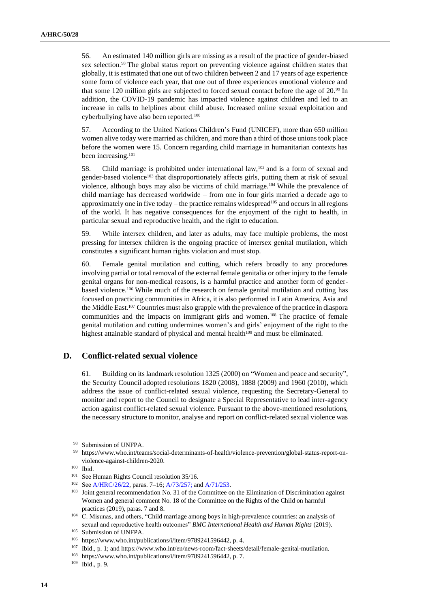56. An estimated 140 million girls are missing as a result of the practice of gender-biased sex selection.<sup>98</sup> The global status report on preventing violence against children states that globally, it is estimated that one out of two children between 2 and 17 years of age experience some form of violence each year, that one out of three experiences emotional violence and that some 120 million girls are subjected to forced sexual contact before the age of 20.<sup>99</sup> In addition, the COVID-19 pandemic has impacted violence against children and led to an increase in calls to helplines about child abuse. Increased online sexual exploitation and cyberbullying have also been reported.<sup>100</sup>

57. According to the United Nations Children's Fund (UNICEF), more than 650 million women alive today were married as children, and more than a third of those unions took place before the women were 15. Concern regarding child marriage in humanitarian contexts has been increasing.<sup>101</sup>

58. Child marriage is prohibited under international law,  $102$  and is a form of sexual and gender-based violence<sup>103</sup> that disproportionately affects girls, putting them at risk of sexual violence, although boys may also be victims of child marriage.<sup>104</sup> While the prevalence of child marriage has decreased worldwide – from one in four girls married a decade ago to approximately one in five today – the practice remains widespread<sup>105</sup> and occurs in all regions of the world. It has negative consequences for the enjoyment of the right to health, in particular sexual and reproductive health, and the right to education.

59. While intersex children, and later as adults, may face multiple problems, the most pressing for intersex children is the ongoing practice of intersex genital mutilation, which constitutes a significant human rights violation and must stop.

60. Female genital mutilation and cutting, which refers broadly to any procedures involving partial or total removal of the external female genitalia or other injury to the female genital organs for non-medical reasons, is a harmful practice and another form of genderbased violence.<sup>106</sup> While much of the research on female genital mutilation and cutting has focused on practicing communities in Africa, it is also performed in Latin America, Asia and the Middle East.<sup>107</sup> Countries must also grapple with the prevalence of the practice in diaspora communities and the impacts on immigrant girls and women. <sup>108</sup> The practice of female genital mutilation and cutting undermines women's and girls' enjoyment of the right to the highest attainable standard of physical and mental health<sup>109</sup> and must be eliminated.

### **D. Conflict-related sexual violence**

61. Building on its landmark resolution 1325 (2000) on "Women and peace and security", the Security Council adopted resolutions [1820](mailto:http://unscr.com/en/resolutions/doc/1820) (2008), [1888](mailto:http://unscr.com/en/resolutions/doc/1888) (2009) and [1960](mailto:http://unscr.com/en/resolutions/doc/1960) (2010), which address the issue of conflict-related sexual violence, requesting the Secretary-General to monitor and report to the Council to designate a Special Representative to lead inter-agency action against conflict-related sexual violence. Pursuant to the above-mentioned resolutions, the necessary structure to monitor, analyse and report on conflict-related sexual violence was

<sup>98</sup> Submission of UNFPA.

<sup>99</sup> https://www.who.int/teams/social-determinants-of-health/violence-prevention/global-status-report-onviolence-against-children-2020.

<sup>100</sup> Ibid.

<sup>&</sup>lt;sup>101</sup> See Human Rights Council resolution 35/16.

<sup>102</sup> Se[e A/HRC/26/22,](http://undocs.org/en/A/HRC/26/22) paras. 7–16; [A/73/257;](http://undocs.org/en/A/73/257;) and [A/71/253.](http://undocs.org/en/A/71/253)

<sup>&</sup>lt;sup>103</sup> Joint general recommendation No. 31 of the Committee on the Elimination of Discrimination against Women and general comment No. 18 of the Committee on the Rights of the Child on harmful practices (2019), paras. 7 and 8.

<sup>104</sup> C. Misunas, and others, "Child marriage among boys in high-prevalence countries: an analysis of sexual and reproductive health outcomes" *BMC International Health and Human Rights* (2019).

<sup>105</sup> Submission of UNFPA.

<sup>106</sup> https://www.who.int/publications/i/item/9789241596442, p. 4.

<sup>107</sup> Ibid., p. 1; and https://www.who.int/en/news-room/fact-sheets/detail/female-genital-mutilation.

<sup>&</sup>lt;sup>108</sup> https://www.who.int/publications/i/item/9789241596442, p. 7.

<sup>109</sup> Ibid., p. 9.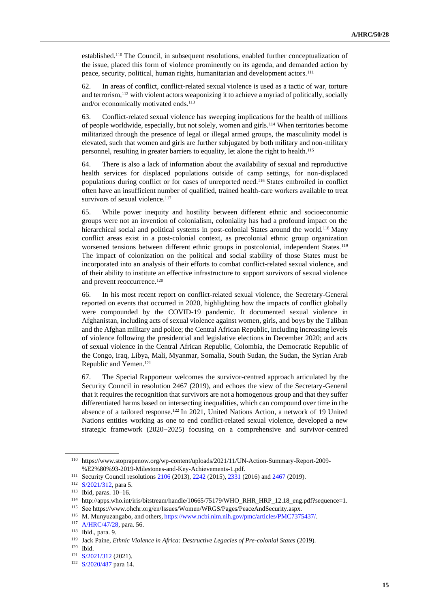established.<sup>110</sup> The Council, in subsequent resolutions, enabled further conceptualization of the issue, placed this form of violence prominently on its agenda, and demanded action by peace, security, political, human rights, humanitarian and development actors.<sup>111</sup>

62. In areas of conflict, conflict-related sexual violence is used as a tactic of war, torture and terrorism,<sup>112</sup> with violent actors weaponizing it to achieve a myriad of politically, socially and/or economically motivated ends.<sup>113</sup>

63. Conflict-related sexual violence has sweeping implications for the health of millions of people worldwide, especially, but not solely, women and girls.<sup>114</sup> When territories become militarized through the presence of legal or illegal armed groups, the masculinity model is elevated, such that women and girls are further subjugated by both military and non-military personnel, resulting in greater barriers to equality, let alone the right to health.<sup>115</sup>

64. There is also a lack of information about the availability of sexual and reproductive health services for displaced populations outside of camp settings, for non-displaced populations during conflict or for cases of unreported need.<sup>116</sup> States embroiled in conflict often have an insufficient number of qualified, trained health-care workers available to treat survivors of sexual violence.<sup>117</sup>

65. While power inequity and hostility between different ethnic and socioeconomic groups were not an invention of colonialism, coloniality has had a profound impact on the hierarchical social and political systems in post-colonial States around the world.<sup>118</sup> Many conflict areas exist in a post-colonial context, as precolonial ethnic group organization worsened tensions between different ethnic groups in postcolonial, independent States.<sup>119</sup> The impact of colonization on the political and social stability of those States must be incorporated into an analysis of their efforts to combat conflict-related sexual violence, and of their ability to institute an effective infrastructure to support survivors of sexual violence and prevent reoccurrence.<sup>120</sup>

66. In his most recent report on conflict-related sexual violence, the Secretary-General reported on events that occurred in 2020, highlighting how the impacts of conflict globally were compounded by the COVID-19 pandemic. It documented sexual violence in Afghanistan, including acts of sexual violence against women, girls, and boys by the Taliban and the Afghan military and police; the Central African Republic, including increasing levels of violence following the presidential and legislative elections in December 2020; and acts of sexual violence in the Central African Republic, Colombia, the Democratic Republic of the Congo, Iraq, Libya, Mali, Myanmar, Somalia, South Sudan, the Sudan, the Syrian Arab Republic and Yemen.<sup>121</sup>

67. The Special Rapporteur welcomes the survivor-centred approach articulated by the Security Council in resolution 2467 (2019), and echoes the view of the Secretary-General that it requires the recognition that survivors are not a homogenous group and that they suffer differentiated harms based on intersecting inequalities, which can compound over time in the absence of a tailored response.<sup>122</sup> In 2021, United Nations Action, a network of 19 United Nations entities working as one to end conflict-related sexual violence, developed a new strategic framework (2020−2025) focusing on a comprehensive and survivor-centred

<sup>110</sup> https://www.stoprapenow.org/wp-content/uploads/2021/11/UN-Action-Summary-Report-2009- %E2%80%93-2019-Milestones-and-Key-Achievements-1.pdf.

<sup>111</sup> Security Council resolutions [2106](mailto:http://unscr.com/en/resolutions/doc/2106) (2013), [2242](mailto:http://unscr.com/en/resolutions/doc/2242) (2015)[, 2331](mailto:http://unscr.com/en/resolutions/doc/2331) (2016) an[d 2467](mailto:https://documents-dds-ny.un.org/doc/UNDOC/GEN/N19/118/28/PDF/N1911828.pdf?OpenElement) (2019).

<sup>112</sup> [S/2021/312,](http://undocs.org/en/S/2021/312) para 5.

<sup>113</sup> Ibid, paras. 10–16.

 $114$  http://apps.who.int/iris/bitstream/handle/10665/75179/WHO\_RHR\_HRP\_12.18\_eng.pdf?sequence=1.

<sup>115</sup> See https://www.ohchr.org/en/Issues/Women/WRGS/Pages/PeaceAndSecurity.aspx.

<sup>116</sup> M. Munyuzangabo, and others, [https://www.ncbi.nlm.nih.gov/pmc/articles/PMC7375437/.](https://www.ncbi.nlm.nih.gov/pmc/articles/PMC7375437/)

<sup>117</sup> [A/HRC/47/28,](http://undocs.org/en/A/HRC/47/28) para. 56.

<sup>118</sup> Ibid., para. 9.

<sup>119</sup> Jack Paine, *Ethnic Violence in Africa: Destructive Legacies of Pre-colonial States* (2019).

<sup>120</sup> Ibid.

<sup>121</sup> [S/2021/312](http://undocs.org/en/S/2021/312) (2021).

<sup>122</sup> [S/2020/487](http://undocs.org/en/S/2020/487) para 14.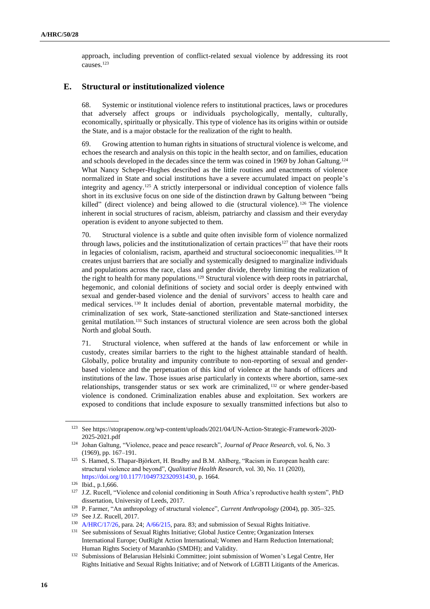approach, including prevention of conflict-related sexual violence by addressing its root causes.<sup>123</sup>

### **E. Structural or institutionalized violence**

68. Systemic or institutional violence refers to institutional practices, laws or procedures that adversely affect groups or individuals psychologically, mentally, culturally, economically, spiritually or physically. This type of violence has its origins within or outside the State, and is a major obstacle for the realization of the right to health.

69. Growing attention to human rights in situations of structural violence is welcome, and echoes the research and analysis on this topic in the health sector, and on families, education and schools developed in the decades since the term was coined in 1969 by Johan Galtung.<sup>124</sup> What Nancy Scheper-Hughes described as the little routines and enactments of violence normalized in State and social institutions have a severe accumulated impact on people's integrity and agency.<sup>125</sup> A strictly interpersonal or individual conception of violence falls short in its exclusive focus on one side of the distinction drawn by Galtung between "being killed" (direct violence) and being allowed to die (structural violence).  $126$  The violence inherent in social structures of racism, ableism, patriarchy and classism and their everyday operation is evident to anyone subjected to them.

70. Structural violence is a subtle and quite often invisible form of violence normalized through laws, policies and the institutionalization of certain practices<sup>127</sup> that have their roots in legacies of colonialism, racism, apartheid and structural socioeconomic inequalities.<sup>128</sup> It creates unjust barriers that are socially and systemically designed to marginalize individuals and populations across the race, class and gender divide, thereby limiting the realization of the right to health for many populations.<sup>129</sup> Structural violence with deep roots in patriarchal, hegemonic, and colonial definitions of society and social order is deeply entwined with sexual and gender-based violence and the denial of survivors' access to health care and medical services. <sup>130</sup> It includes denial of abortion, preventable maternal morbidity, the criminalization of sex work, State-sanctioned sterilization and State-sanctioned intersex genital mutilation.<sup>131</sup> Such instances of structural violence are seen across both the global North and global South.

71. Structural violence, when suffered at the hands of law enforcement or while in custody, creates similar barriers to the right to the highest attainable standard of health. Globally, police brutality and impunity contribute to non-reporting of sexual and genderbased violence and the perpetuation of this kind of violence at the hands of officers and institutions of the law. Those issues arise particularly in contexts where abortion, same-sex relationships, transgender status or sex work are criminalized, <sup>132</sup> or where gender-based violence is condoned. Criminalization enables abuse and exploitation. Sex workers are exposed to conditions that include exposure to sexually transmitted infections but also to

<sup>123</sup> See https://stoprapenow.org/wp-content/uploads/2021/04/UN-Action-Strategic-Framework-2020- 2025-2021.pdf

<sup>124</sup> Johan Galtung, "Violence, peace and peace research", *Journal of Peace Research,* vol. 6, No. 3 (1969), pp. 167–191.

<sup>&</sup>lt;sup>125</sup> S. Hamed, S. Thapar-Björkert, H. Bradby and B.M. Ahlberg, "Racism in European health care: structural violence and beyond", *Qualitative Health Research*, vol. 30, No. 11 (2020[\),](https://doi.org/10.1177/1049732320931430) [https://doi.org/10.1177/1049732320931430,](https://doi.org/10.1177/1049732320931430) p. 1664.

<sup>126</sup> Ibid., p.1,666.

<sup>&</sup>lt;sup>127</sup> J.Z. Rucell, "Violence and colonial conditioning in South Africa's reproductive health system", PhD dissertation, University of Leeds, 2017.

<sup>128</sup> P. Farmer, "An anthropology of structural violence", *Current Anthropology* (2004), pp. 305−325.

<sup>129</sup> See J.Z. Rucell, 2017.

<sup>130</sup> [A/HRC/17/26,](http://undocs.org/en/A/HRC/17/26) para. 24; [A/66/215,](http://undocs.org/en/A/66/215) para. 83; and submission of Sexual Rights Initiative.

<sup>&</sup>lt;sup>131</sup> See submissions of Sexual Rights Initiative; Global Justice Centre; Organization Intersex International Europe; OutRight Action International; Women and Harm Reduction International; Human Rights Society of Maranhão (SMDH); and Validity.

<sup>132</sup> Submissions of Belarusian Helsinki Committee; joint submission of Women's Legal Centre, Her Rights Initiative and Sexual Rights Initiative; and of Network of LGBTI Litigants of the Americas.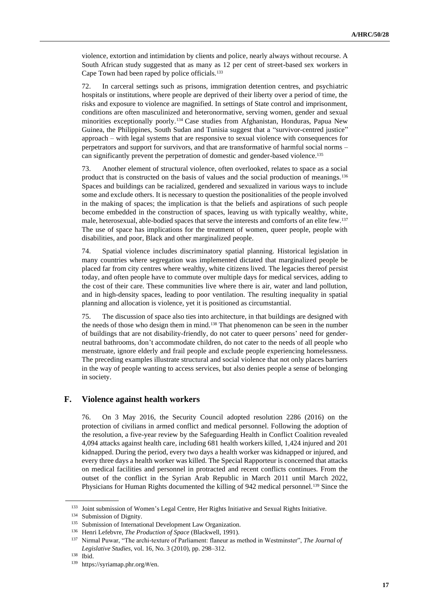violence, extortion and intimidation by clients and police, nearly always without recourse. A South African study suggested that as many as 12 per cent of street-based sex workers in Cape Town had been raped by police officials.<sup>133</sup>

72. In carceral settings such as prisons, immigration detention centres, and psychiatric hospitals or institutions, where people are deprived of their liberty over a period of time, the risks and exposure to violence are magnified. In settings of State control and imprisonment, conditions are often masculinized and heteronormative, serving women, gender and sexual minorities exceptionally poorly.<sup>134</sup> Case studies from Afghanistan, Honduras, Papua New Guinea, the Philippines, South Sudan and Tunisia suggest that a "survivor-centred justice" approach – with legal systems that are responsive to sexual violence with consequences for perpetrators and support for survivors, and that are transformative of harmful social norms – can significantly prevent the perpetration of domestic and gender-based violence.<sup>135</sup>

73. Another element of structural violence, often overlooked, relates to space as a social product that is constructed on the basis of values and the social production of meanings.<sup>136</sup> Spaces and buildings can be racialized, gendered and sexualized in various ways to include some and exclude others. It is necessary to question the positionalities of the people involved in the making of spaces; the implication is that the beliefs and aspirations of such people become embedded in the construction of spaces, leaving us with typically wealthy, white, male, heterosexual, able-bodied spaces that serve the interests and comforts of an elite few.<sup>137</sup> The use of space has implications for the treatment of women, queer people, people with disabilities, and poor, Black and other marginalized people.

74. Spatial violence includes discriminatory spatial planning. Historical legislation in many countries where segregation was implemented dictated that marginalized people be placed far from city centres where wealthy, white citizens lived. The legacies thereof persist today, and often people have to commute over multiple days for medical services, adding to the cost of their care. These communities live where there is air, water and land pollution, and in high-density spaces, leading to poor ventilation. The resulting inequality in spatial planning and allocation is violence, yet it is positioned as circumstantial.

75. The discussion of space also ties into architecture, in that buildings are designed with the needs of those who design them in mind.<sup>138</sup> That phenomenon can be seen in the number of buildings that are not disability-friendly, do not cater to queer persons' need for genderneutral bathrooms, don't accommodate children, do not cater to the needs of all people who menstruate, ignore elderly and frail people and exclude people experiencing homelessness. The preceding examples illustrate structural and social violence that not only places barriers in the way of people wanting to access services, but also denies people a sense of belonging in society.

### **F. Violence against health workers**

76. On 3 May 2016, the Security Council adopted resolution 2286 (2016) on the protection of civilians in armed conflict and medical personnel. Following the adoption of the resolution, a five-year review by the Safeguarding Health in Conflict Coalition revealed 4,094 attacks against health care, including 681 health workers killed, 1,424 injured and 201 kidnapped. During the period, every two days a health worker was kidnapped or injured, and every three days a health worker was killed. The Special Rapporteur is concerned that attacks on medical facilities and personnel in protracted and recent conflicts continues. From the outset of the conflict in the Syrian Arab Republic in March 2011 until March 2022, Physicians for Human Rights documented the killing of 942 medical personnel.<sup>139</sup> Since the

<sup>133</sup> Joint submission of Women's Legal Centre, Her Rights Initiative and Sexual Rights Initiative.

<sup>134</sup> Submission of Dignity.

<sup>&</sup>lt;sup>135</sup> Submission of International Development Law Organization.

<sup>136</sup> Henri Lefebvre, *The Production of Space* (Blackwell, 1991).

<sup>137</sup> Nirmal Puwar, "The archi-texture of Parliament: flaneur as method in Westminster", *The Journal of Legislative Studies*, vol. 16, No. 3 (2010), pp. 298–312.

<sup>138</sup> Ibid.

<sup>139</sup> https://syriamap.phr.org/#/en.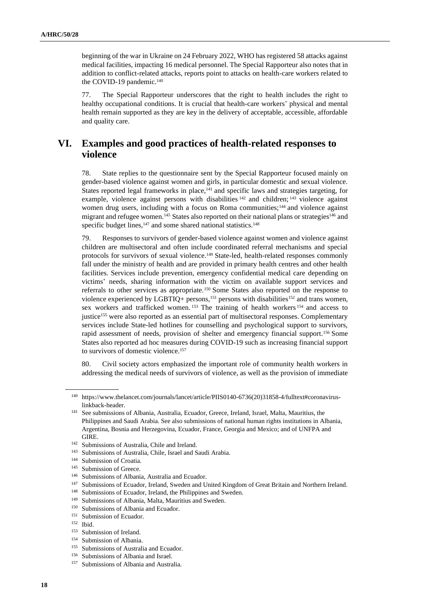beginning of the war in Ukraine on 24 February 2022, WHO has registered 58 attacks against medical facilities, impacting 16 medical personnel. The Special Rapporteur also notes that in addition to conflict-related attacks, reports point to attacks on health-care workers related to the COVID-19 pandemic.<sup>140</sup>

77. The Special Rapporteur underscores that the right to health includes the right to healthy occupational conditions. It is crucial that health-care workers' physical and mental health remain supported as they are key in the delivery of acceptable, accessible, affordable and quality care.

## **VI. Examples and good practices of health-related responses to violence**

78. State replies to the questionnaire sent by the Special Rapporteur focused mainly on gender-based violence against women and girls, in particular domestic and sexual violence. States reported legal frameworks in place,<sup>141</sup> and specific laws and strategies targeting, for example, violence against persons with disabilities <sup>142</sup> and children; <sup>143</sup> violence against women drug users, including with a focus on Roma communities;<sup>144</sup> and violence against migrant and refugee women.<sup>145</sup> States also reported on their national plans or strategies<sup>146</sup> and specific budget lines,<sup>147</sup> and some shared national statistics.<sup>148</sup>

79. Responses to survivors of gender-based violence against women and violence against children are multisectoral and often include coordinated referral mechanisms and special protocols for survivors of sexual violence.<sup>149</sup> State-led, health-related responses commonly fall under the ministry of health and are provided in primary health centres and other health facilities. Services include prevention, emergency confidential medical care depending on victims' needs, sharing information with the victim on available support services and referrals to other services as appropriate.<sup>150</sup> Some States also reported on the response to violence experienced by LGBTIQ+ persons,<sup>151</sup> persons with disabilities<sup>152</sup> and trans women, sex workers and trafficked women. <sup>153</sup> The training of health workers <sup>154</sup> and access to justice<sup>155</sup> were also reported as an essential part of multisectoral responses. Complementary services include State-led hotlines for counselling and psychological support to survivors, rapid assessment of needs, provision of shelter and emergency financial support.<sup>156</sup> Some States also reported ad hoc measures during COVID-19 such as increasing financial support to survivors of domestic violence.<sup>157</sup>

80. Civil society actors emphasized the important role of community health workers in addressing the medical needs of survivors of violence, as well as the provision of immediate

<sup>154</sup> Submission of Albania.

<sup>140</sup> https://www.thelancet.com/journals/lancet/article/PIIS0140-6736(20)31858-4/fulltext#coronaviruslinkback-header.

<sup>141</sup> See submissions of Albania, Australia, Ecuador, Greece, Ireland, Israel, Malta, Mauritius, the Philippines and Saudi Arabia. See also submissions of national human rights institutions in Albania, Argentina, Bosnia and Herzegovina, Ecuador, France, Georgia and Mexico; and of UNFPA and GIRE.

<sup>142</sup> Submissions of Australia, Chile and Ireland.

<sup>143</sup> Submissions of Australia, Chile, Israel and Saudi Arabia.

<sup>144</sup> Submission of Croatia.

<sup>&</sup>lt;sup>145</sup> Submission of Greece.

<sup>146</sup> Submissions of Albania, Australia and Ecuador.

<sup>147</sup> Submissions of Ecuador, Ireland, Sweden and United Kingdom of Great Britain and Northern Ireland.

<sup>&</sup>lt;sup>148</sup> Submissions of Ecuador, Ireland, the Philippines and Sweden.<br><sup>149</sup> Submissions of Albania Malta Mauritius and Sweden.

Submissions of Albania, Malta, Mauritius and Sweden.

<sup>&</sup>lt;sup>150</sup> Submissions of Albania and Ecuador.

<sup>151</sup> Submission of Ecuador.

<sup>152</sup> Ibid.

<sup>&</sup>lt;sup>153</sup> Submission of Ireland.

<sup>&</sup>lt;sup>155</sup> Submissions of Australia and Ecuador.

<sup>156</sup> Submissions of Albania and Israel.

<sup>&</sup>lt;sup>157</sup> Submissions of Albania and Australia.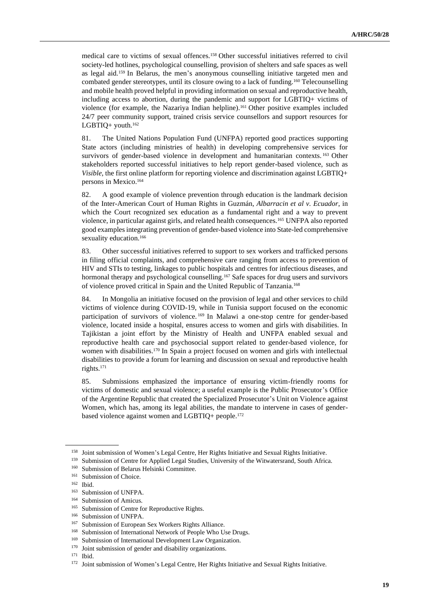medical care to victims of sexual offences.<sup>158</sup> Other successful initiatives referred to civil society-led hotlines, psychological counselling, provision of shelters and safe spaces as well as legal aid.<sup>159</sup> In Belarus, the men's anonymous counselling initiative targeted men and combated gender stereotypes, until its closure owing to a lack of funding.<sup>160</sup> Telecounselling and mobile health proved helpful in providing information on sexual and reproductive health, including access to abortion, during the pandemic and support for LGBTIQ+ victims of violence (for example, the Nazariya Indian helpline).<sup>161</sup> Other positive examples included 24/7 peer community support, trained crisis service counsellors and support resources for LGBTIQ+ youth.<sup>162</sup>

81. The United Nations Population Fund (UNFPA) reported good practices supporting State actors (including ministries of health) in developing comprehensive services for survivors of gender-based violence in development and humanitarian contexts.<sup>163</sup> Other stakeholders reported successful initiatives to help report gender-based violence, such as *Visible*, the first online platform for reporting violence and discrimination against LGBTIQ+ persons in Mexico.<sup>164</sup>

82. A good example of violence prevention through education is the landmark decision of the Inter-American Court of Human Rights in Guzmán, *Albarracin et al v. Ecuador*, in which the Court recognized sex education as a fundamental right and a way to prevent violence, in particular against girls, and related health consequences.<sup>165</sup> UNFPA also reported good examples integrating prevention of gender-based violence into State-led comprehensive sexuality education.<sup>166</sup>

83. Other successful initiatives referred to support to sex workers and trafficked persons in filing official complaints, and comprehensive care ranging from access to prevention of HIV and STIs to testing, linkages to public hospitals and centres for infectious diseases, and hormonal therapy and psychological counselling.<sup>167</sup> Safe spaces for drug users and survivors of violence proved critical in Spain and the United Republic of Tanzania.<sup>168</sup>

84. In Mongolia an initiative focused on the provision of legal and other services to child victims of violence during COVID-19, while in Tunisia support focused on the economic participation of survivors of violence.<sup>169</sup> In Malawi a one-stop centre for gender-based violence, located inside a hospital, ensures access to women and girls with disabilities. In Tajikistan a joint effort by the Ministry of Health and UNFPA enabled sexual and reproductive health care and psychosocial support related to gender-based violence, for women with disabilities.<sup>170</sup> In Spain a project focused on women and girls with intellectual disabilities to provide a forum for learning and discussion on sexual and reproductive health rights.<sup>171</sup>

85. Submissions emphasized the importance of ensuring victim-friendly rooms for victims of domestic and sexual violence; a useful example is the Public Prosecutor's Office of the Argentine Republic that created the Specialized Prosecutor's Unit on Violence against Women, which has, among its legal abilities, the mandate to intervene in cases of genderbased violence against women and LGBTIQ+ people.<sup>172</sup>

<sup>158</sup> Joint submission of Women's Legal Centre, Her Rights Initiative and Sexual Rights Initiative.

<sup>&</sup>lt;sup>159</sup> Submission of Centre for Applied Legal Studies, University of the Witwatersrand, South Africa.

<sup>160</sup> Submission of Belarus Helsinki Committee.

<sup>&</sup>lt;sup>161</sup> Submission of Choice.

<sup>162</sup> Ibid.

 $^{163}$  Submission of UNFPA.

Submission of Amicus.

<sup>&</sup>lt;sup>165</sup> Submission of Centre for Reproductive Rights.

<sup>166</sup> Submission of UNFPA.

<sup>167</sup> Submission of European Sex Workers Rights Alliance.

<sup>&</sup>lt;sup>168</sup> Submission of International Network of People Who Use Drugs.

<sup>&</sup>lt;sup>169</sup> Submission of International Development Law Organization.

<sup>&</sup>lt;sup>170</sup> Joint submission of gender and disability organizations.

<sup>171</sup> Ibid.

<sup>&</sup>lt;sup>172</sup> Joint submission of Women's Legal Centre, Her Rights Initiative and Sexual Rights Initiative.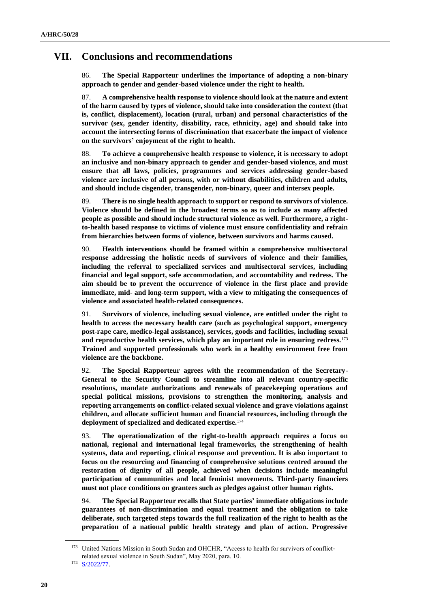## **VII. Conclusions and recommendations**

86. **The Special Rapporteur underlines the importance of adopting a non-binary approach to gender and gender-based violence under the right to health.** 

87. **A comprehensive health response to violence should look at the nature and extent of the harm caused by types of violence, should take into consideration the context (that is, conflict, displacement), location (rural, urban) and personal characteristics of the survivor (sex, gender identity, disability, race, ethnicity, age) and should take into account the intersecting forms of discrimination that exacerbate the impact of violence on the survivors' enjoyment of the right to health.**

88. **To achieve a comprehensive health response to violence, it is necessary to adopt an inclusive and non-binary approach to gender and gender-based violence, and must ensure that all laws, policies, programmes and services addressing gender-based violence are inclusive of all persons, with or without disabilities, children and adults, and should include cisgender, transgender, non-binary, queer and intersex people.**

89. **There is no single health approach to support or respond to survivors of violence. Violence should be defined in the broadest terms so as to include as many affected people as possible and should include structural violence as well. Furthermore, a rightto-health based response to victims of violence must ensure confidentiality and refrain from hierarchies between forms of violence, between survivors and harms caused.** 

90. **Health interventions should be framed within a comprehensive multisectoral response addressing the holistic needs of survivors of violence and their families, including the referral to specialized services and multisectoral services, including financial and legal support, safe accommodation, and accountability and redress. The aim should be to prevent the occurrence of violence in the first place and provide immediate, mid- and long-term support, with a view to mitigating the consequences of violence and associated health-related consequences.**

91. **Survivors of violence, including sexual violence, are entitled under the right to health to access the necessary health care (such as psychological support, emergency post-rape care, medico-legal assistance), services, goods and facilities, including sexual and reproductive health services, which play an important role in ensuring redress.**<sup>173</sup> **Trained and supported professionals who work in a healthy environment free from violence are the backbone.** 

92. **The Special Rapporteur agrees with the recommendation of the Secretary-General to the Security Council to streamline into all relevant country-specific resolutions, mandate authorizations and renewals of peacekeeping operations and special political missions, provisions to strengthen the monitoring, analysis and reporting arrangements on conflict-related sexual violence and grave violations against children, and allocate sufficient human and financial resources, including through the deployment of specialized and dedicated expertise.**<sup>174</sup>

93. **The operationalization of the right-to-health approach requires a focus on national, regional and international legal frameworks, the strengthening of health systems, data and reporting, clinical response and prevention. It is also important to focus on the resourcing and financing of comprehensive solutions centred around the restoration of dignity of all people, achieved when decisions include meaningful participation of communities and local feminist movements. Third-party financiers must not place conditions on grantees such as pledges against other human rights.**

94. **The Special Rapporteur recalls that State parties' immediate obligations include guarantees of non-discrimination and equal treatment and the obligation to take deliberate, such targeted steps towards the full realization of the right to health as the preparation of a national public health strategy and plan of action. Progressive** 

<sup>173</sup> United Nations Mission in South Sudan and OHCHR, "Access to health for survivors of conflictrelated sexual violence in South Sudan", May 2020, para. 10.

<sup>174</sup> [S/2022/77.](http://undocs.org/en/S/2022/77)